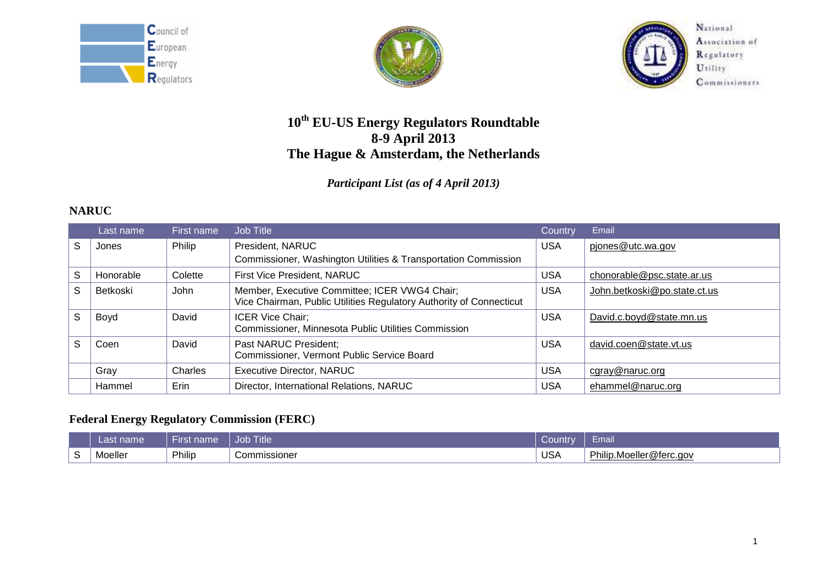





National Association of Regulatory Utility Commissioners

# **10th EU-US Energy Regulators Roundtable 8-9 April 2013 The Hague & Amsterdam, the Netherlands**

## *Participant List (as of 4 April 2013)*

# **NARUC**

|    | Last name | First name | Job Title                                                                                                            | Country    | Email                        |
|----|-----------|------------|----------------------------------------------------------------------------------------------------------------------|------------|------------------------------|
| S  | Jones     | Philip     | President, NARUC                                                                                                     | <b>USA</b> | pjones@utc.wa.gov            |
|    |           |            | Commissioner, Washington Utilities & Transportation Commission                                                       |            |                              |
| S  | Honorable | Colette    | <b>First Vice President, NARUC</b>                                                                                   | <b>USA</b> | chonorable@psc.state.ar.us   |
| S  | Betkoski  | John       | Member, Executive Committee; ICER VWG4 Chair;<br>Vice Chairman, Public Utilities Regulatory Authority of Connecticut | <b>USA</b> | John.betkoski@po.state.ct.us |
| S  | Boyd      | David      | <b>ICER Vice Chair:</b><br>Commissioner, Minnesota Public Utilities Commission                                       | <b>USA</b> | David.c.boyd@state.mn.us     |
| S. | Coen      | David      | Past NARUC President;<br>Commissioner, Vermont Public Service Board                                                  | <b>USA</b> | david.coen@state.vt.us       |
|    | Gray      | Charles    | <b>Executive Director, NARUC</b>                                                                                     | <b>USA</b> | cgray@naruc.org              |
|    | Hammel    | Erin       | Director, International Relations, NARUC                                                                             | <b>USA</b> | ehammel@naruc.org            |

## **Federal Energy Regulatory Commission (FERC)**

| zast name | าame<br>ursi | Title<br>Job         | ⊃ountr     | - I I Iall                     |
|-----------|--------------|----------------------|------------|--------------------------------|
| Moeller   | Philip       | <i>C</i> ommissioner | <b>USA</b> | Philip.Moeller<br>ler@terc.aov |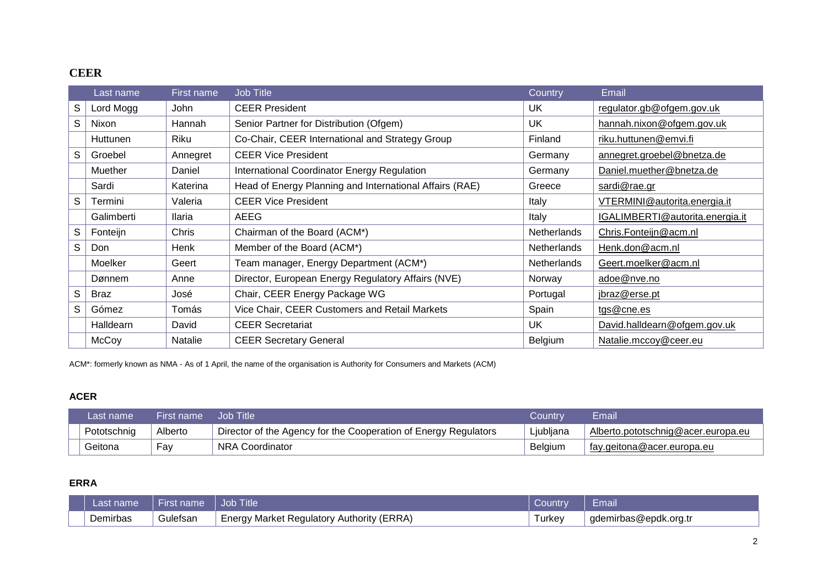## **CEER**

|   | Last name        | First name | Job Title                                               | Country            | Email                           |
|---|------------------|------------|---------------------------------------------------------|--------------------|---------------------------------|
| S | Lord Mogg        | John       | <b>CEER President</b>                                   | UK.                | regulator.gb@ofgem.gov.uk       |
| S | Nixon            | Hannah     | Senior Partner for Distribution (Ofgem)                 | <b>UK</b>          | hannah.nixon@ofgem.gov.uk       |
|   | <b>Huttunen</b>  | Riku       | Co-Chair, CEER International and Strategy Group         | Finland            | riku.huttunen@emvi.fi           |
| S | Groebel          | Annegret   | <b>CEER Vice President</b>                              | Germany            | annegret.groebel@bnetza.de      |
|   | Muether          | Daniel     | International Coordinator Energy Regulation             | Germany            | Daniel.muether@bnetza.de        |
|   | Sardi            | Katerina   | Head of Energy Planning and International Affairs (RAE) | Greece             | sardi@rae.gr                    |
| S | Termini          | Valeria    | <b>CEER Vice President</b>                              | Italy              | VTERMINI@autorita.energia.it    |
|   | Galimberti       | Ilaria     | AEEG                                                    | Italy              | IGALIMBERTI@autorita.energia.it |
| S | Fonteijn         | Chris      | Chairman of the Board (ACM*)                            | Netherlands        | Chris.Fonteijn@acm.nl           |
| S | Don              | Henk       | Member of the Board (ACM*)                              | <b>Netherlands</b> | Henk.don@acm.nl                 |
|   | Moelker          | Geert      | Team manager, Energy Department (ACM*)                  | <b>Netherlands</b> | Geert.moelker@acm.nl            |
|   | Dønnem           | Anne       | Director, European Energy Regulatory Affairs (NVE)      | <b>Norway</b>      | adoe@nve.no                     |
| S | <b>Braz</b>      | José       | Chair, CEER Energy Package WG                           | Portugal           | jbraz@erse.pt                   |
| S | Gómez            | Tomás      | Vice Chair, CEER Customers and Retail Markets           | Spain              | tgs@cne.es                      |
|   | <b>Halldearn</b> | David      | <b>CEER Secretariat</b>                                 | UK                 | David.halldearn@ofgem.gov.uk    |
|   | McCoy            | Natalie    | <b>CEER Secretary General</b>                           | Belgium            | Natalie.mccoy@ceer.eu           |

ACM\*: formerly known as NMA - As of 1 April, the name of the organisation is Authority for Consumers and Markets (ACM)

### **ACER**

| Last name   | First name | Job Title                                                       | Countrv        | Email                              |
|-------------|------------|-----------------------------------------------------------------|----------------|------------------------------------|
| Pototschnig | Alberto    | Director of the Agency for the Cooperation of Energy Regulators | Ljubljana      | Alberto.pototschnig@acer.europa.eu |
| Geitona     | Fav        | <b>NRA Coordinator</b>                                          | <b>Belgium</b> | ⊥ fay.geitona@acer.europa.eu       |

### **ERRA**

| Last name. | First name | Job Title                                 | Country | Email                  |
|------------|------------|-------------------------------------------|---------|------------------------|
| Demirbas   | Gulefsan   | Energy Market Regulatory Authority (ERRA) | Turkev  | gdemirbas@epdk.org.tr_ |